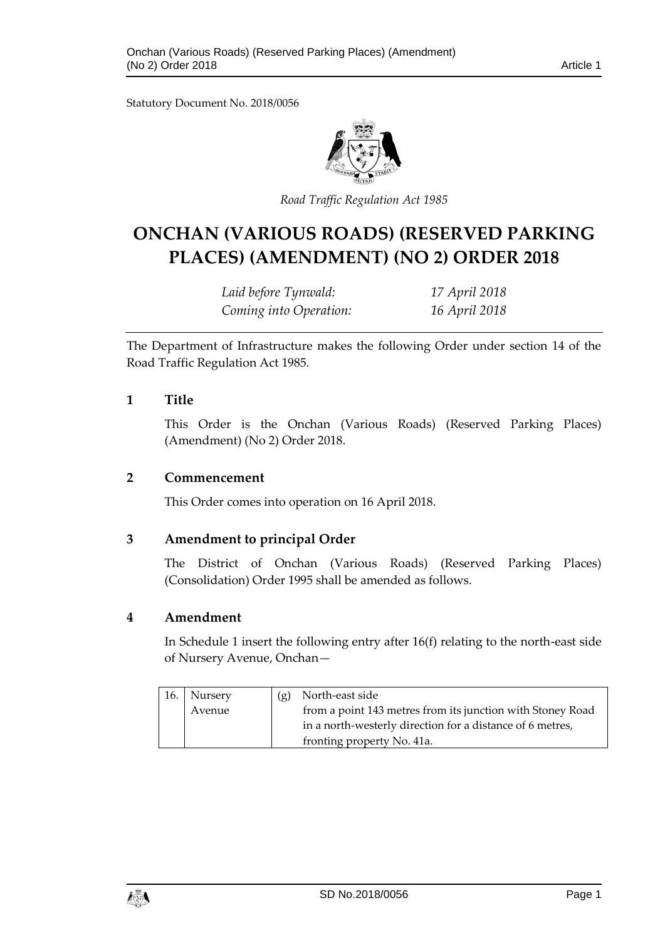Statutory Document No. 2018/0056



*Road Traffic Regulation Act 1985*

# **ONCHAN (VARIOUS ROADS) (RESERVED PARKING PLACES) (AMENDMENT) (NO 2) ORDER 2018**

*Laid before Tynwald: 17 April 2018 Coming into Operation: 16 April 2018*

The Department of Infrastructure makes the following Order under section 14 of the Road Traffic Regulation Act 1985.

#### **1 Title**

This Order is the Onchan (Various Roads) (Reserved Parking Places) (Amendment) (No 2) Order 2018.

#### **2 Commencement**

This Order comes into operation on 16 April 2018.

#### **3 Amendment to principal Order**

The District of Onchan (Various Roads) (Reserved Parking Places) (Consolidation) Order 1995 shall be amended as follows.

#### **4 Amendment**

In Schedule 1 insert the following entry after 16(f) relating to the north-east side of Nursery Avenue, Onchan—

| 16. Nursery | (g) | North-east side                                            |
|-------------|-----|------------------------------------------------------------|
| Avenue      |     | from a point 143 metres from its junction with Stoney Road |
|             |     | in a north-westerly direction for a distance of 6 metres,  |
|             |     | fronting property No. 41a.                                 |

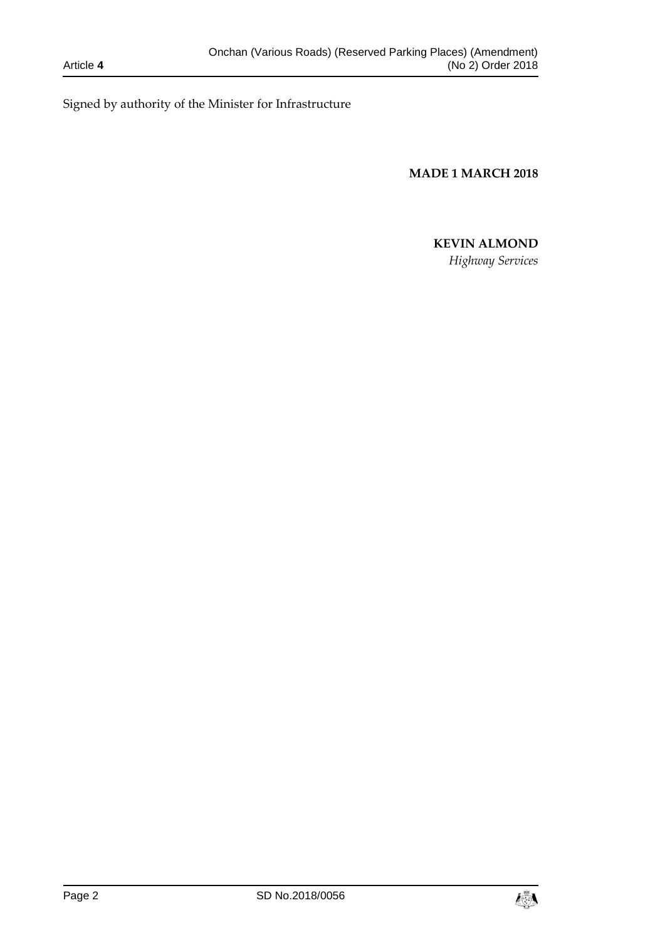Signed by authority of the Minister for Infrastructure

**MADE 1 MARCH 2018**

## **KEVIN ALMOND**

*Highway Services*